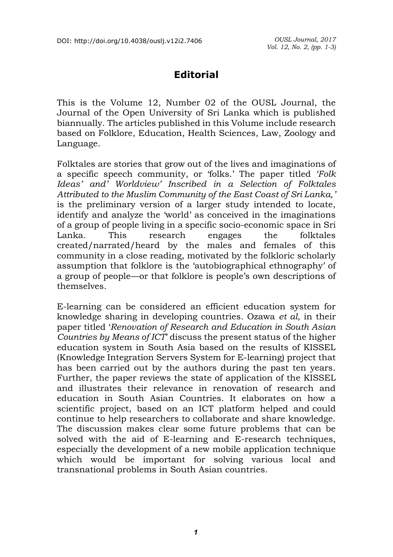## **Editorial**

This is the Volume 12, Number 02 of the OUSL Journal, the Journal of the Open University of Sri Lanka which is published biannually. The articles published in this Volume include research based on Folklore, Education, Health Sciences, Law, Zoology and Language.

Folktales are stories that grow out of the lives and imaginations of a specific speech community, or 'folks.' The paper titled *'Folk Ideas' and' Worldview' Inscribed in a Selection of Folktales Attributed to the Muslim Community of the East Coast of Sri Lanka,'* is the preliminary version of a larger study intended to locate, identify and analyze the 'world' as conceived in the imaginations of a group of people living in a specific socio-economic space in Sri Lanka. This research engages the folktales created/narrated/heard by the males and females of this community in a close reading, motivated by the folkloric scholarly assumption that folklore is the 'autobiographical ethnography' of a group of people—or that folklore is people's own descriptions of themselves.

E-learning can be considered an efficient education system for knowledge sharing in developing countries. Ozawa *et al*, in their paper titled '*Renovation of Research and Education in South Asian Countries by Means of ICT*' discuss the present status of the higher education system in South Asia based on the results of KISSEL (Knowledge Integration Servers System for E-learning) project that has been carried out by the authors during the past ten years. Further, the paper reviews the state of application of the KISSEL and illustrates their relevance in renovation of research and education in South Asian Countries. It elaborates on how a scientific project, based on an ICT platform helped and could continue to help researchers to collaborate and share knowledge. The discussion makes clear some future problems that can be solved with the aid of E-learning and E-research techniques, especially the development of a new mobile application technique which would be important for solving various local and transnational problems in South Asian countries.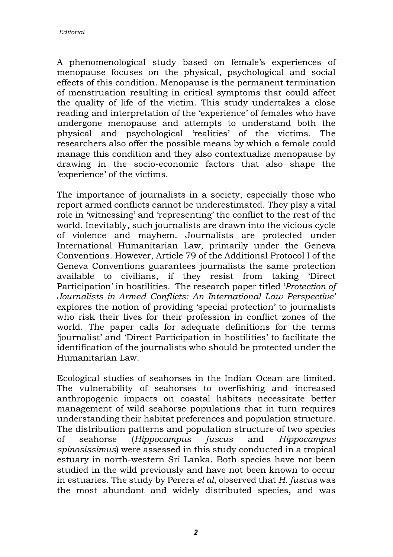A phenomenological study based on female's experiences of menopause focuses on the physical, psychological and social effects of this condition. Menopause is the permanent termination of menstruation resulting in critical symptoms that could affect the quality of life of the victim. This study undertakes a close reading and interpretation of the 'experience' of females who have undergone menopause and attempts to understand both the physical and psychological 'realities' of the victims. The researchers also offer the possible means by which a female could manage this condition and they also contextualize menopause by drawing in the socio-economic factors that also shape the 'experience' of the victims.

The importance of journalists in a society, especially those who report armed conflicts cannot be underestimated. They play a vital role in 'witnessing' and 'representing' the conflict to the rest of the world. Inevitably, such journalists are drawn into the vicious cycle of violence and mayhem. Journalists are protected under International Humanitarian Law, primarily under the Geneva Conventions. However, Article 79 of the Additional Protocol I of the Geneva Conventions guarantees journalists the same protection available to civilians, if they resist from taking 'Direct Participation' in hostilities. The research paper titled '*Protection of Journalists in Armed Conflicts: An International Law Perspective*' explores the notion of providing 'special protection' to journalists who risk their lives for their profession in conflict zones of the world. The paper calls for adequate definitions for the terms 'journalist' and 'Direct Participation in hostilities' to facilitate the identification of the journalists who should be protected under the Humanitarian Law.

Ecological studies of seahorses in the Indian Ocean are limited. The vulnerability of seahorses to overfishing and increased anthropogenic impacts on coastal habitats necessitate better management of wild seahorse populations that in turn requires understanding their habitat preferences and population structure. The distribution patterns and population structure of two species of seahorse (*Hippocampus fuscus* and *Hippocampus spinosissimus*) were assessed in this study conducted in a tropical estuary in north-western Sri Lanka. Both species have not been studied in the wild previously and have not been known to occur in estuaries. The study by Perera *el al*, observed that *H. fuscus* was the most abundant and widely distributed species, and was